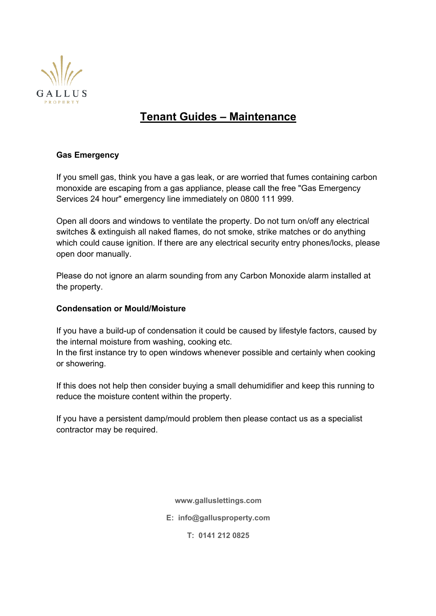

# **Tenant Guides – Maintenance**

# **Gas Emergency**

If you smell gas, think you have a gas leak, or are worried that fumes containing carbon monoxide are escaping from a gas appliance, please call the free "Gas Emergency Services 24 hour" emergency line immediately on 0800 111 999.

Open all doors and windows to ventilate the property. Do not turn on/off any electrical switches & extinguish all naked flames, do not smoke, strike matches or do anything which could cause ignition. If there are any electrical security entry phones/locks, please open door manually.

Please do not ignore an alarm sounding from any Carbon Monoxide alarm installed at the property.

# **Condensation or Mould/Moisture**

If you have a build-up of condensation it could be caused by lifestyle factors, caused by the internal moisture from washing, cooking etc.

In the first instance try to open windows whenever possible and certainly when cooking or showering.

If this does not help then consider buying a small dehumidifier and keep this running to reduce the moisture content within the property.

If you have a persistent damp/mould problem then please contact us as a specialist contractor may be required.

**www.galluslettings.com**

**E: info@gallusproperty.com**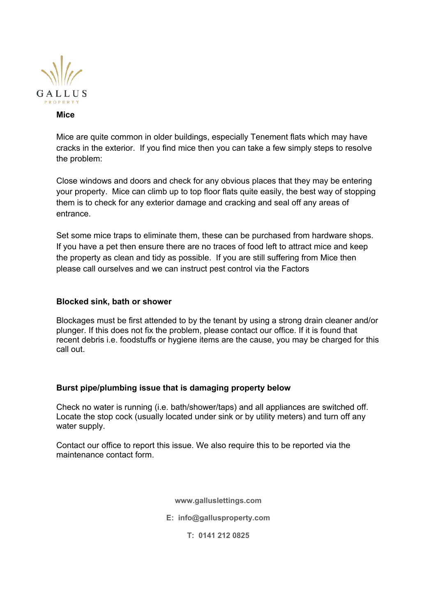

#### **Mice**

Mice are quite common in older buildings, especially Tenement flats which may have cracks in the exterior. If you find mice then you can take a few simply steps to resolve the problem:

Close windows and doors and check for any obvious places that they may be entering your property. Mice can climb up to top floor flats quite easily, the best way of stopping them is to check for any exterior damage and cracking and seal off any areas of entrance.

Set some mice traps to eliminate them, these can be purchased from hardware shops. If you have a pet then ensure there are no traces of food left to attract mice and keep the property as clean and tidy as possible. If you are still suffering from Mice then please call ourselves and we can instruct pest control via the Factors

### **Blocked sink, bath or shower**

Blockages must be first attended to by the tenant by using a strong drain cleaner and/or plunger. If this does not fix the problem, please contact our office. If it is found that recent debris i.e. foodstuffs or hygiene items are the cause, you may be charged for this call out.

## **Burst pipe/plumbing issue that is damaging property below**

Check no water is running (i.e. bath/shower/taps) and all appliances are switched off. Locate the stop cock (usually located under sink or by utility meters) and turn off any water supply.

Contact our office to report this issue. We also require this to be reported via the maintenance contact form.

**www.galluslettings.com**

**E: info@gallusproperty.com**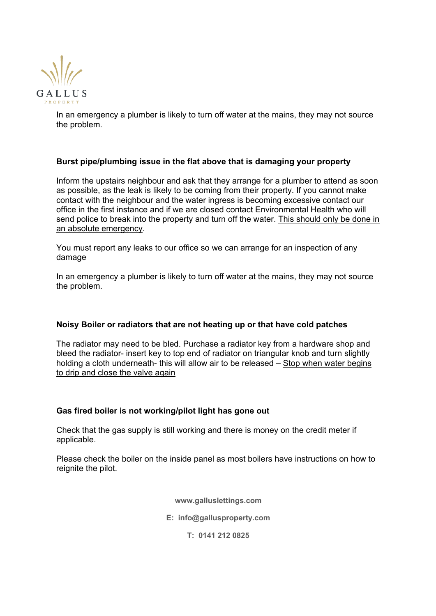

In an emergency a plumber is likely to turn off water at the mains, they may not source the problem.

### **Burst pipe/plumbing issue in the flat above that is damaging your property**

Inform the upstairs neighbour and ask that they arrange for a plumber to attend as soon as possible, as the leak is likely to be coming from their property. If you cannot make contact with the neighbour and the water ingress is becoming excessive contact our office in the first instance and if we are closed contact Environmental Health who will send police to break into the property and turn off the water. This should only be done in an absolute emergency.

You must report any leaks to our office so we can arrange for an inspection of any damage

In an emergency a plumber is likely to turn off water at the mains, they may not source the problem.

#### **Noisy Boiler or radiators that are not heating up or that have cold patches**

The radiator may need to be bled. Purchase a radiator key from a hardware shop and bleed the radiator- insert key to top end of radiator on triangular knob and turn slightly holding a cloth underneath- this will allow air to be released – Stop when water begins to drip and close the valve again

#### **Gas fired boiler is not working/pilot light has gone out**

Check that the gas supply is still working and there is money on the credit meter if applicable.

Please check the boiler on the inside panel as most boilers have instructions on how to reignite the pilot.

**www.galluslettings.com**

**E: info@gallusproperty.com**